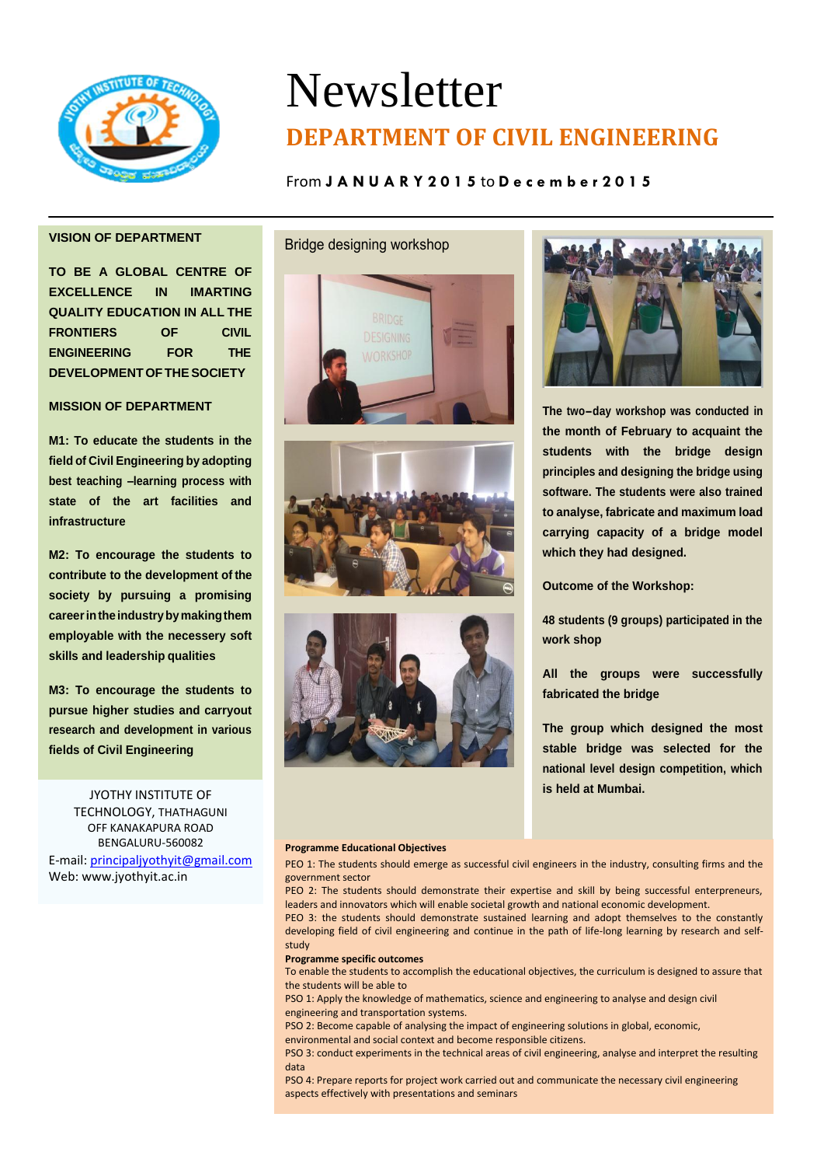

# Newsletter **DEPARTMENT OF CIVIL ENGINEERING**

# From **J A N U A R Y 2 0 1 5** to **D e c e m b e r 2 0 1 5**

# **VISION OF DEPARTMENT**

**TO BE A GLOBAL CENTRE OF EXCELLENCE IN IMARTING QUALITY EDUCATION IN ALL THE FRONTIERS OF CIVIL ENGINEERING FOR THE DEVELOPMENTOFTHESOCIETY**

# **MISSION OF DEPARTMENT**

**M1: To educate the students in the field of Civil Engineering by adopting best teaching –learning process with state of the art facilities and infrastructure**

**M2: To encourage the students to contribute to the development of the society by pursuing a promising careerintheindustrybymakingthem employable with the necessery soft skills and leadership qualities**

**M3: To encourage the students to pursue higher studies and carryout research and development in various fields of Civil Engineering**

JYOTHY INSTITUTE OF TECHNOLOGY, THATHAGUNI OFF KANAKAPURA ROAD BENGALURU-560082 E-mail[: principaljyothyit@gmail.com](mailto:principaljyothyit@gmail.com) Web: [www.jyothyit.ac.in](http://www.jyothyit.ac.in/)

## Bridge designing workshop







**The two-day workshop was conducted in the month of February to acquaint the students with the bridge design principles and designing the bridge using software. The students were also trained to analyse, fabricate and maximum load carrying capacity of a bridge model which they had designed.**

**Outcome of the Workshop:**

**48 students (9 groups) participated in the work shop**

**All the groups were successfully fabricated the bridge**

**The group which designed the most stable bridge was selected for the national level design competition, which is held at Mumbai.**

## **Programme Educational Objectives**

PEO 1: The students should emerge as successful civil engineers in the industry, consulting firms and the government sector

PEO 2: The students should demonstrate their expertise and skill by being successful enterpreneurs, leaders and innovators which will enable societal growth and national economic development.

PEO 3: the students should demonstrate sustained learning and adopt themselves to the constantly developing field of civil engineering and continue in the path of life-long learning by research and selfstudy

### **Programme specific outcomes**

To enable the students to accomplish the educational objectives, the curriculum is designed to assure that the students will be able to

PSO 1: Apply the knowledge of mathematics, science and engineering to analyse and design civil engineering and transportation systems.

PSO 2: Become capable of analysing the impact of engineering solutions in global, economic,

environmental and social context and become responsible citizens. PSO 3: conduct experiments in the technical areas of civil engineering, analyse and interpret the resulting

data

PSO 4: Prepare reports for project work carried out and communicate the necessary civil engineering aspects effectively with presentations and seminars